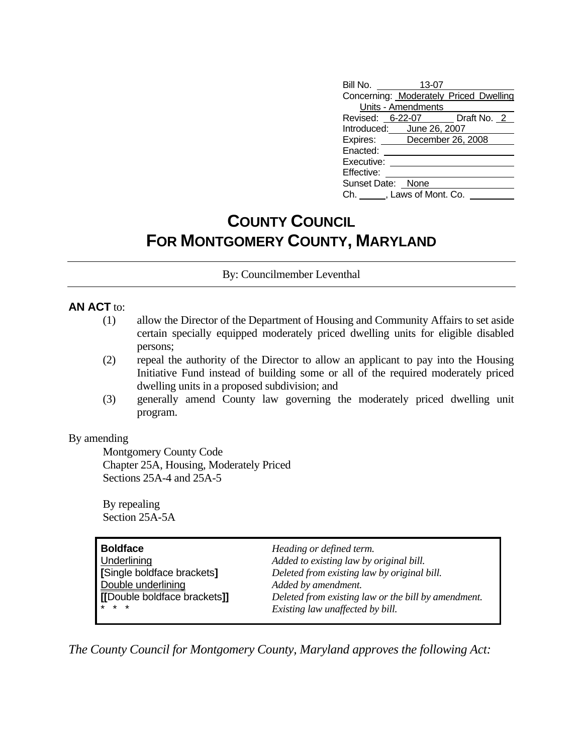| Bill No.                   | 13-07               |                                        |
|----------------------------|---------------------|----------------------------------------|
|                            |                     | Concerning: Moderately Priced Dwelling |
|                            | Units - Amendments  |                                        |
|                            |                     | Revised: 6-22-07 Draft No. 2           |
| Introduced: June 26, 2007  |                     |                                        |
| Expires: December 26, 2008 |                     |                                        |
| Enacted:                   |                     |                                        |
| Executive:                 |                     |                                        |
| Effective:                 |                     |                                        |
| Sunset Date: None          |                     |                                        |
| Ch. I                      | , Laws of Mont. Co. |                                        |

## **COUNTY COUNCIL FOR MONTGOMERY COUNTY, MARYLAND**

By: Councilmember Leventhal

### **AN ACT** to:

- (1) allow the Director of the Department of Housing and Community Affairs to set aside certain specially equipped moderately priced dwelling units for eligible disabled persons;
- (2) repeal the authority of the Director to allow an applicant to pay into the Housing Initiative Fund instead of building some or all of the required moderately priced dwelling units in a proposed subdivision; and
- (3) generally amend County law governing the moderately priced dwelling unit program.

#### By amending

 Montgomery County Code Chapter 25A, Housing, Moderately Priced Sections 25A-4 and 25A-5

 By repealing Section 25A-5A

| <b>Boldface</b>              | Heading or defined term.                            |
|------------------------------|-----------------------------------------------------|
| Underlining                  | Added to existing law by original bill.             |
| [Single boldface brackets]   | Deleted from existing law by original bill.         |
| Double underlining           | Added by amendment.                                 |
| [[Double boldface brackets]] | Deleted from existing law or the bill by amendment. |
| $* * *$                      | Existing law unaffected by bill.                    |

*The County Council for Montgomery County, Maryland approves the following Act:*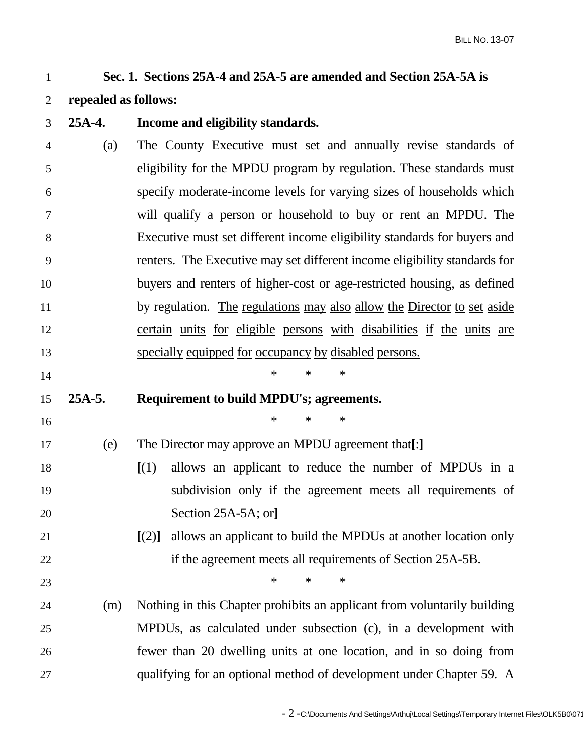# 1 **Sec. 1. Sections 25A-4 and 25A-5 are amended and Section 25A-5A is**

- 2 **repealed as follows:**
- 3 **25A-4. Income and eligibility standards.**  4 (a) The County Executive must set and annually revise standards of 5 eligibility for the MPDU program by regulation. These standards must 6 specify moderate-income levels for varying sizes of households which 7 will qualify a person or household to buy or rent an MPDU. The 8 Executive must set different income eligibility standards for buyers and 9 renters. The Executive may set different income eligibility standards for 10 buyers and renters of higher-cost or age-restricted housing, as defined 11 by regulation. The regulations may also allow the Director to set aside 12 certain units for eligible persons with disabilities if the units are 13 specially equipped for occupancy by disabled persons.  $14$  \* \* \* 15 **25A-5. Requirement to build MPDU's; agreements.**   $16$  \* \* \* \* 17 (e) The Director may approve an MPDU agreement that**[**:**]** 18 **[**(1) allows an applicant to reduce the number of MPDUs in a 19 subdivision only if the agreement meets all requirements of 20 Section 25A-5A; or**]** 21 **[**(2)**]** allows an applicant to build the MPDUs at another location only 22 if the agreement meets all requirements of Section 25A-5B. 23  $\ast$   $\ast$   $\ast$   $\ast$ 24 (m) Nothing in this Chapter prohibits an applicant from voluntarily building
- 25 MPDUs, as calculated under subsection (c), in a development with 26 fewer than 20 dwelling units at one location, and in so doing from 27 qualifying for an optional method of development under Chapter 59. A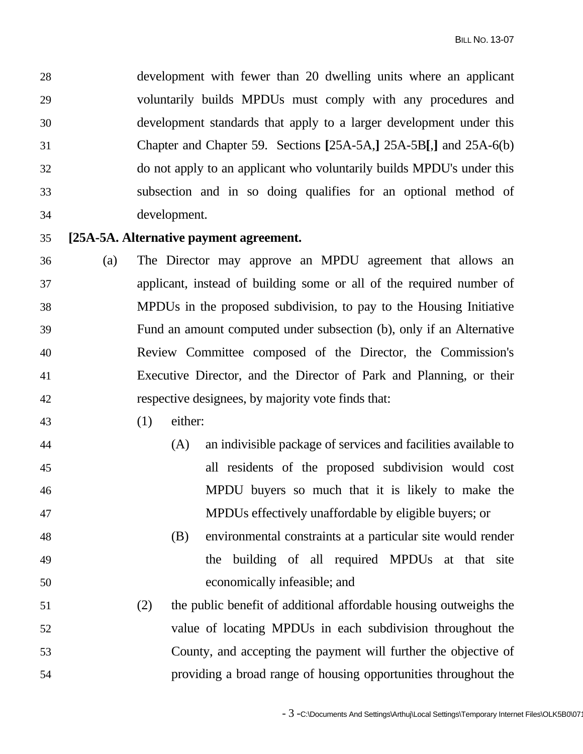28 development with fewer than 20 dwelling units where an applicant 29 voluntarily builds MPDUs must comply with any procedures and 30 development standards that apply to a larger development under this 31 Chapter and Chapter 59. Sections **[**25A-5A,**]** 25A-5B**[**,**]** and 25A-6(b) 32 do not apply to an applicant who voluntarily builds MPDU's under this 33 subsection and in so doing qualifies for an optional method of 34 development.

## 35 **[25A-5A. Alternative payment agreement.**

- 36 (a) The Director may approve an MPDU agreement that allows an 37 applicant, instead of building some or all of the required number of 38 MPDUs in the proposed subdivision, to pay to the Housing Initiative 39 Fund an amount computed under subsection (b), only if an Alternative 40 Review Committee composed of the Director, the Commission's 41 Executive Director, and the Director of Park and Planning, or their 42 respective designees, by majority vote finds that:
- 43 (1) either:
- 44 (A) an indivisible package of services and facilities available to 45 all residents of the proposed subdivision would cost 46 MPDU buyers so much that it is likely to make the 47 MPDUs effectively unaffordable by eligible buyers; or
- 48 (B) environmental constraints at a particular site would render 49 the building of all required MPDUs at that site 50 economically infeasible; and
- 51 (2) the public benefit of additional affordable housing outweighs the 52 value of locating MPDUs in each subdivision throughout the 53 County, and accepting the payment will further the objective of 54 providing a broad range of housing opportunities throughout the